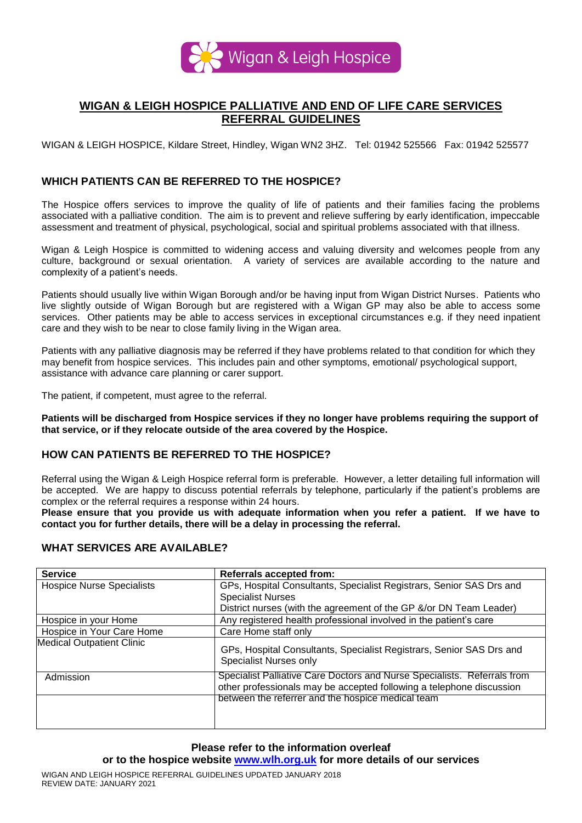

# **WIGAN & LEIGH HOSPICE PALLIATIVE AND END OF LIFE CARE SERVICES REFERRAL GUIDELINES**

WIGAN & LEIGH HOSPICE, Kildare Street, Hindley, Wigan WN2 3HZ. Tel: 01942 525566 Fax: 01942 525577

## **WHICH PATIENTS CAN BE REFERRED TO THE HOSPICE?**

The Hospice offers services to improve the quality of life of patients and their families facing the problems associated with a palliative condition. The aim is to prevent and relieve suffering by early identification, impeccable assessment and treatment of physical, psychological, social and spiritual problems associated with that illness.

Wigan & Leigh Hospice is committed to widening access and valuing diversity and welcomes people from any culture, background or sexual orientation. A variety of services are available according to the nature and complexity of a patient's needs.

Patients should usually live within Wigan Borough and/or be having input from Wigan District Nurses. Patients who live slightly outside of Wigan Borough but are registered with a Wigan GP may also be able to access some services. Other patients may be able to access services in exceptional circumstances e.g. if they need inpatient care and they wish to be near to close family living in the Wigan area.

Patients with any palliative diagnosis may be referred if they have problems related to that condition for which they may benefit from hospice services. This includes pain and other symptoms, emotional/ psychological support, assistance with advance care planning or carer support.

The patient, if competent, must agree to the referral.

**Patients will be discharged from Hospice services if they no longer have problems requiring the support of that service, or if they relocate outside of the area covered by the Hospice.** 

## **HOW CAN PATIENTS BE REFERRED TO THE HOSPICE?**

Referral using the Wigan & Leigh Hospice referral form is preferable. However, a letter detailing full information will be accepted. We are happy to discuss potential referrals by telephone, particularly if the patient's problems are complex or the referral requires a response within 24 hours.

**Please ensure that you provide us with adequate information when you refer a patient. If we have to contact you for further details, there will be a delay in processing the referral.** 

#### **WHAT SERVICES ARE AVAILABLE?**

| <b>Service</b>                   | <b>Referrals accepted from:</b>                                                                                                                  |
|----------------------------------|--------------------------------------------------------------------------------------------------------------------------------------------------|
| <b>Hospice Nurse Specialists</b> | GPs, Hospital Consultants, Specialist Registrars, Senior SAS Drs and                                                                             |
|                                  | <b>Specialist Nurses</b>                                                                                                                         |
|                                  | District nurses (with the agreement of the GP &/or DN Team Leader)                                                                               |
| Hospice in your Home             | Any registered health professional involved in the patient's care                                                                                |
| Hospice in Your Care Home        | Care Home staff only                                                                                                                             |
| <b>Medical Outpatient Clinic</b> | GPs, Hospital Consultants, Specialist Registrars, Senior SAS Drs and<br><b>Specialist Nurses only</b>                                            |
| Admission                        | Specialist Palliative Care Doctors and Nurse Specialists. Referrals from<br>other professionals may be accepted following a telephone discussion |
|                                  | between the referrer and the hospice medical team                                                                                                |

## **Please refer to the information overleaf**

**or to the hospice website [www.wlh.org.uk](http://www.wlh.org.uk/) for more details of our services**